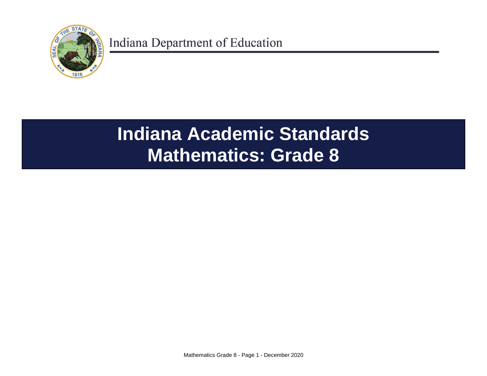

# **Indiana Academic Standards Mathematics: Grade 8**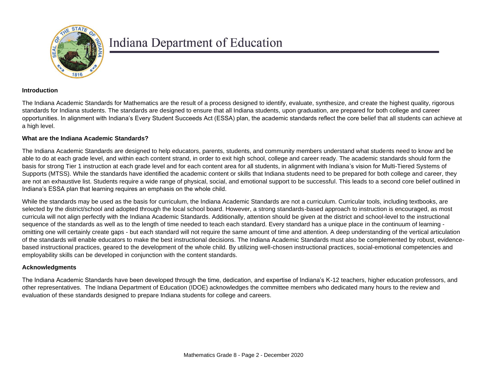

#### **Introduction**

The Indiana Academic Standards for Mathematics are the result of a process designed to identify, evaluate, synthesize, and create the highest quality, rigorous standards for Indiana students. The standards are designed to ensure that all Indiana students, upon graduation, are prepared for both college and career opportunities. In alignment with Indiana's Every Student Succeeds Act (ESSA) plan, the academic standards reflect the core belief that all students can achieve at a high level.

#### **What are the Indiana Academic Standards?**

The Indiana Academic Standards are designed to help educators, parents, students, and community members understand what students need to know and be able to do at each grade level, and within each content strand, in order to exit high school, college and career ready. The academic standards should form the basis for strong Tier 1 instruction at each grade level and for each content area for all students, in alignment with Indiana's vision for Multi-Tiered Systems of Supports (MTSS). While the standards have identified the academic content or skills that Indiana students need to be prepared for both college and career, they are not an exhaustive list. Students require a wide range of physical, social, and emotional support to be successful. This leads to a second core belief outlined in Indiana's ESSA plan that learning requires an emphasis on the whole child.

While the standards may be used as the basis for curriculum, the Indiana Academic Standards are not a curriculum. Curricular tools, including textbooks, are selected by the district/school and adopted through the local school board. However, a strong standards-based approach to instruction is encouraged, as most curricula will not align perfectly with the Indiana Academic Standards. Additionally, attention should be given at the district and school-level to the instructional sequence of the standards as well as to the length of time needed to teach each standard. Every standard has a unique place in the continuum of learning omitting one will certainly create gaps - but each standard will not require the same amount of time and attention. A deep understanding of the vertical articulation of the standards will enable educators to make the best instructional decisions. The Indiana Academic Standards must also be complemented by robust, evidencebased instructional practices, geared to the development of the whole child. By utilizing well-chosen instructional practices, social-emotional competencies and employability skills can be developed in conjunction with the content standards.

#### **Acknowledgments**

The Indiana Academic Standards have been developed through the time, dedication, and expertise of Indiana's K-12 teachers, higher education professors, and other representatives. The Indiana Department of Education (IDOE) acknowledges the committee members who dedicated many hours to the review and evaluation of these standards designed to prepare Indiana students for college and careers.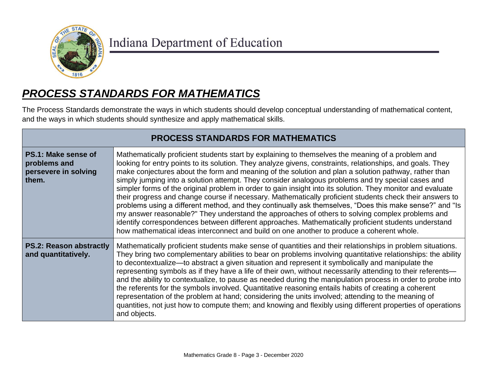

### *PROCESS STANDARDS FOR MATHEMATICS*

The Process Standards demonstrate the ways in which students should develop conceptual understanding of mathematical content, and the ways in which students should synthesize and apply mathematical skills.

| <b>PROCESS STANDARDS FOR MATHEMATICS</b>                             |                                                                                                                                                                                                                                                                                                                                                                                                                                                                                                                                                                                                                                                                                                                                                                                                                                                                                                                                                                                                                                                                             |  |
|----------------------------------------------------------------------|-----------------------------------------------------------------------------------------------------------------------------------------------------------------------------------------------------------------------------------------------------------------------------------------------------------------------------------------------------------------------------------------------------------------------------------------------------------------------------------------------------------------------------------------------------------------------------------------------------------------------------------------------------------------------------------------------------------------------------------------------------------------------------------------------------------------------------------------------------------------------------------------------------------------------------------------------------------------------------------------------------------------------------------------------------------------------------|--|
| PS.1: Make sense of<br>problems and<br>persevere in solving<br>them. | Mathematically proficient students start by explaining to themselves the meaning of a problem and<br>looking for entry points to its solution. They analyze givens, constraints, relationships, and goals. They<br>make conjectures about the form and meaning of the solution and plan a solution pathway, rather than<br>simply jumping into a solution attempt. They consider analogous problems and try special cases and<br>simpler forms of the original problem in order to gain insight into its solution. They monitor and evaluate<br>their progress and change course if necessary. Mathematically proficient students check their answers to<br>problems using a different method, and they continually ask themselves, "Does this make sense?" and "Is<br>my answer reasonable?" They understand the approaches of others to solving complex problems and<br>identify correspondences between different approaches. Mathematically proficient students understand<br>how mathematical ideas interconnect and build on one another to produce a coherent whole. |  |
| <b>PS.2: Reason abstractly</b><br>and quantitatively.                | Mathematically proficient students make sense of quantities and their relationships in problem situations.<br>They bring two complementary abilities to bear on problems involving quantitative relationships: the ability<br>to decontextualize—to abstract a given situation and represent it symbolically and manipulate the<br>representing symbols as if they have a life of their own, without necessarily attending to their referents—<br>and the ability to contextualize, to pause as needed during the manipulation process in order to probe into<br>the referents for the symbols involved. Quantitative reasoning entails habits of creating a coherent<br>representation of the problem at hand; considering the units involved; attending to the meaning of<br>quantities, not just how to compute them; and knowing and flexibly using different properties of operations<br>and objects.                                                                                                                                                                  |  |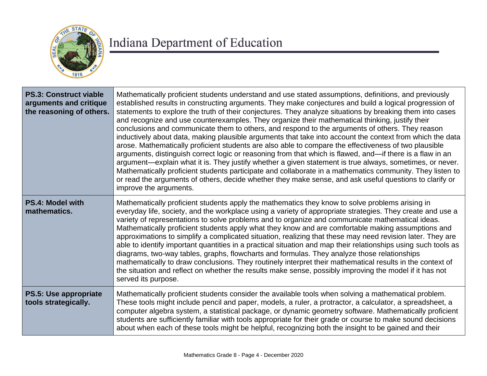

| <b>PS.3: Construct viable</b><br>arguments and critique<br>the reasoning of others. | Mathematically proficient students understand and use stated assumptions, definitions, and previously<br>established results in constructing arguments. They make conjectures and build a logical progression of<br>statements to explore the truth of their conjectures. They analyze situations by breaking them into cases<br>and recognize and use counterexamples. They organize their mathematical thinking, justify their<br>conclusions and communicate them to others, and respond to the arguments of others. They reason<br>inductively about data, making plausible arguments that take into account the context from which the data<br>arose. Mathematically proficient students are also able to compare the effectiveness of two plausible<br>arguments, distinguish correct logic or reasoning from that which is flawed, and—if there is a flaw in an<br>argument—explain what it is. They justify whether a given statement is true always, sometimes, or never.<br>Mathematically proficient students participate and collaborate in a mathematics community. They listen to<br>or read the arguments of others, decide whether they make sense, and ask useful questions to clarify or<br>improve the arguments. |
|-------------------------------------------------------------------------------------|--------------------------------------------------------------------------------------------------------------------------------------------------------------------------------------------------------------------------------------------------------------------------------------------------------------------------------------------------------------------------------------------------------------------------------------------------------------------------------------------------------------------------------------------------------------------------------------------------------------------------------------------------------------------------------------------------------------------------------------------------------------------------------------------------------------------------------------------------------------------------------------------------------------------------------------------------------------------------------------------------------------------------------------------------------------------------------------------------------------------------------------------------------------------------------------------------------------------------------------|
| <b>PS.4: Model with</b><br>mathematics.                                             | Mathematically proficient students apply the mathematics they know to solve problems arising in<br>everyday life, society, and the workplace using a variety of appropriate strategies. They create and use a<br>variety of representations to solve problems and to organize and communicate mathematical ideas.<br>Mathematically proficient students apply what they know and are comfortable making assumptions and<br>approximations to simplify a complicated situation, realizing that these may need revision later. They are<br>able to identify important quantities in a practical situation and map their relationships using such tools as<br>diagrams, two-way tables, graphs, flowcharts and formulas. They analyze those relationships<br>mathematically to draw conclusions. They routinely interpret their mathematical results in the context of<br>the situation and reflect on whether the results make sense, possibly improving the model if it has not<br>served its purpose.                                                                                                                                                                                                                                |
| PS.5: Use appropriate<br>tools strategically.                                       | Mathematically proficient students consider the available tools when solving a mathematical problem.<br>These tools might include pencil and paper, models, a ruler, a protractor, a calculator, a spreadsheet, a<br>computer algebra system, a statistical package, or dynamic geometry software. Mathematically proficient<br>students are sufficiently familiar with tools appropriate for their grade or course to make sound decisions<br>about when each of these tools might be helpful, recognizing both the insight to be gained and their                                                                                                                                                                                                                                                                                                                                                                                                                                                                                                                                                                                                                                                                                  |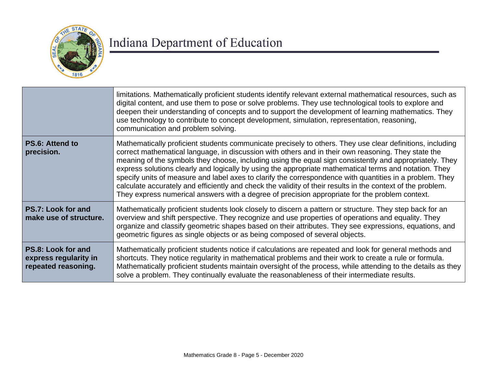

|                                                                    | limitations. Mathematically proficient students identify relevant external mathematical resources, such as<br>digital content, and use them to pose or solve problems. They use technological tools to explore and<br>deepen their understanding of concepts and to support the development of learning mathematics. They<br>use technology to contribute to concept development, simulation, representation, reasoning,<br>communication and problem solving.                                                                                                                                                                                                                                                                                                     |
|--------------------------------------------------------------------|--------------------------------------------------------------------------------------------------------------------------------------------------------------------------------------------------------------------------------------------------------------------------------------------------------------------------------------------------------------------------------------------------------------------------------------------------------------------------------------------------------------------------------------------------------------------------------------------------------------------------------------------------------------------------------------------------------------------------------------------------------------------|
| <b>PS.6: Attend to</b><br>precision.                               | Mathematically proficient students communicate precisely to others. They use clear definitions, including<br>correct mathematical language, in discussion with others and in their own reasoning. They state the<br>meaning of the symbols they choose, including using the equal sign consistently and appropriately. They<br>express solutions clearly and logically by using the appropriate mathematical terms and notation. They<br>specify units of measure and label axes to clarify the correspondence with quantities in a problem. They<br>calculate accurately and efficiently and check the validity of their results in the context of the problem.<br>They express numerical answers with a degree of precision appropriate for the problem context. |
| PS.7: Look for and<br>make use of structure.                       | Mathematically proficient students look closely to discern a pattern or structure. They step back for an<br>overview and shift perspective. They recognize and use properties of operations and equality. They<br>organize and classify geometric shapes based on their attributes. They see expressions, equations, and<br>geometric figures as single objects or as being composed of several objects.                                                                                                                                                                                                                                                                                                                                                           |
| PS.8: Look for and<br>express regularity in<br>repeated reasoning. | Mathematically proficient students notice if calculations are repeated and look for general methods and<br>shortcuts. They notice regularity in mathematical problems and their work to create a rule or formula.<br>Mathematically proficient students maintain oversight of the process, while attending to the details as they<br>solve a problem. They continually evaluate the reasonableness of their intermediate results.                                                                                                                                                                                                                                                                                                                                  |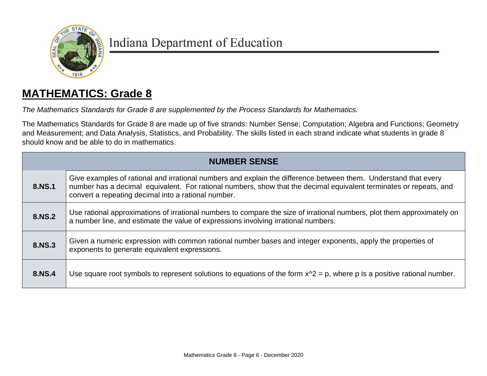

## **Indiana Department of Education**

### **MATHEMATICS: Grade 8**

*The Mathematics Standards for Grade 8 are supplemented by the Process Standards for Mathematics.* 

The Mathematics Standards for Grade 8 are made up of five strands: Number Sense; Computation; Algebra and Functions; Geometry and Measurement; and Data Analysis, Statistics, and Probability. The skills listed in each strand indicate what students in grade 8 should know and be able to do in mathematics.

| <b>NUMBER SENSE</b> |                                                                                                                                                                                                                                                                                              |
|---------------------|----------------------------------------------------------------------------------------------------------------------------------------------------------------------------------------------------------------------------------------------------------------------------------------------|
| 8.NS.1              | Give examples of rational and irrational numbers and explain the difference between them. Understand that every<br>number has a decimal equivalent. For rational numbers, show that the decimal equivalent terminates or repeats, and<br>convert a repeating decimal into a rational number. |
| 8.NS.2              | Use rational approximations of irrational numbers to compare the size of irrational numbers, plot them approximately on<br>a number line, and estimate the value of expressions involving irrational numbers.                                                                                |
| 8.NS.3              | Given a numeric expression with common rational number bases and integer exponents, apply the properties of<br>exponents to generate equivalent expressions.                                                                                                                                 |
| 8.NS.4              | Use square root symbols to represent solutions to equations of the form $x^2 = p$ , where p is a positive rational number.                                                                                                                                                                   |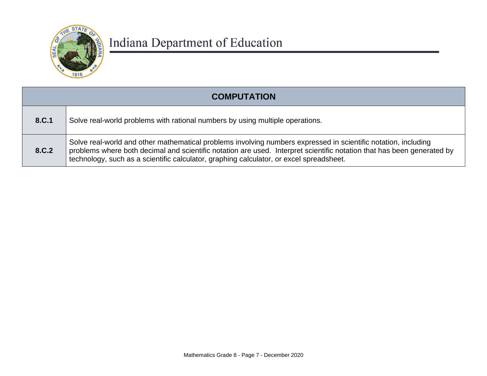

| <b>COMPUTATION</b> |                                                                                                                                                                                                                                                                                                                                     |
|--------------------|-------------------------------------------------------------------------------------------------------------------------------------------------------------------------------------------------------------------------------------------------------------------------------------------------------------------------------------|
| 8.C.1              | Solve real-world problems with rational numbers by using multiple operations.                                                                                                                                                                                                                                                       |
| 8.C.2              | Solve real-world and other mathematical problems involving numbers expressed in scientific notation, including<br>problems where both decimal and scientific notation are used. Interpret scientific notation that has been generated by<br>technology, such as a scientific calculator, graphing calculator, or excel spreadsheet. |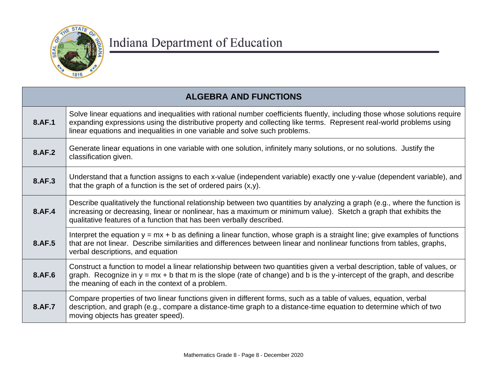

| 8.AF.1 | Solve linear equations and inequalities with rational number coefficients fluently, including those whose solutions require<br>expanding expressions using the distributive property and collecting like terms. Represent real-world problems using<br>linear equations and inequalities in one variable and solve such problems. |
|--------|-----------------------------------------------------------------------------------------------------------------------------------------------------------------------------------------------------------------------------------------------------------------------------------------------------------------------------------|
| 8.AF.2 | Generate linear equations in one variable with one solution, infinitely many solutions, or no solutions. Justify the<br>classification given.                                                                                                                                                                                     |
| 8.AF.3 | Understand that a function assigns to each x-value (independent variable) exactly one y-value (dependent variable), and<br>that the graph of a function is the set of ordered pairs $(x,y)$ .                                                                                                                                     |
| 8.AF.4 | Describe qualitatively the functional relationship between two quantities by analyzing a graph (e.g., where the function is<br>increasing or decreasing, linear or nonlinear, has a maximum or minimum value). Sketch a graph that exhibits the<br>qualitative features of a function that has been verbally described.           |
| 8.AF.5 | Interpret the equation $y = mx + b$ as defining a linear function, whose graph is a straight line; give examples of functions<br>that are not linear. Describe similarities and differences between linear and nonlinear functions from tables, graphs,<br>verbal descriptions, and equation                                      |
| 8.AF.6 | Construct a function to model a linear relationship between two quantities given a verbal description, table of values, or<br>graph. Recognize in $y = mx + b$ that m is the slope (rate of change) and b is the y-intercept of the graph, and describe<br>the meaning of each in the context of a problem.                       |
| 8.AF.7 | Compare properties of two linear functions given in different forms, such as a table of values, equation, verbal<br>description, and graph (e.g., compare a distance-time graph to a distance-time equation to determine which of two<br>moving objects has greater speed).                                                       |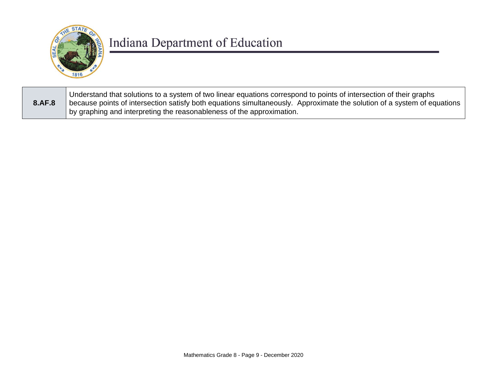

| 8.AF.8 | Understand that solutions to a system of two linear equations correspond to points of intersection of their graphs<br>Decause points of intersection satisfy both equations simultaneously. Approximate the solution of a system of equations |
|--------|-----------------------------------------------------------------------------------------------------------------------------------------------------------------------------------------------------------------------------------------------|
|        | If by graphing and interpreting the reasonableness of the approximation.                                                                                                                                                                      |
|        |                                                                                                                                                                                                                                               |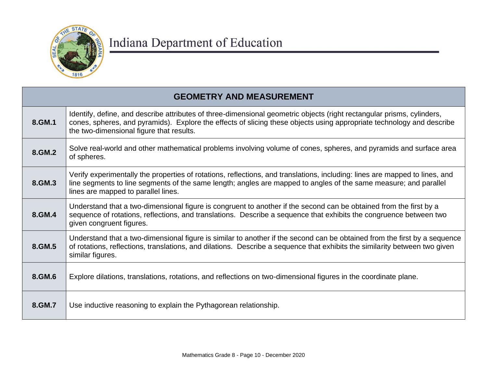

### **GEOMETRY AND MEASUREMENT**

| 8.GM.1 | Identify, define, and describe attributes of three-dimensional geometric objects (right rectangular prisms, cylinders,<br>cones, spheres, and pyramids). Explore the effects of slicing these objects using appropriate technology and describe<br>the two-dimensional figure that results. |
|--------|---------------------------------------------------------------------------------------------------------------------------------------------------------------------------------------------------------------------------------------------------------------------------------------------|
| 8.GM.2 | Solve real-world and other mathematical problems involving volume of cones, spheres, and pyramids and surface area<br>of spheres.                                                                                                                                                           |
| 8.GM.3 | Verify experimentally the properties of rotations, reflections, and translations, including: lines are mapped to lines, and<br>line segments to line segments of the same length; angles are mapped to angles of the same measure; and parallel<br>lines are mapped to parallel lines.      |
| 8.GM.4 | Understand that a two-dimensional figure is congruent to another if the second can be obtained from the first by a<br>sequence of rotations, reflections, and translations. Describe a sequence that exhibits the congruence between two<br>given congruent figures.                        |
| 8.GM.5 | Understand that a two-dimensional figure is similar to another if the second can be obtained from the first by a sequence<br>of rotations, reflections, translations, and dilations. Describe a sequence that exhibits the similarity between two given<br>similar figures.                 |
| 8.GM.6 | Explore dilations, translations, rotations, and reflections on two-dimensional figures in the coordinate plane.                                                                                                                                                                             |
| 8.GM.7 | Use inductive reasoning to explain the Pythagorean relationship.                                                                                                                                                                                                                            |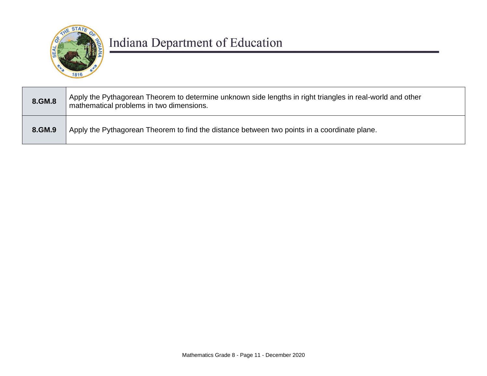

# Indiana Department of Education

| 8.GM.8 | Apply the Pythagorean Theorem to determine unknown side lengths in right triangles in real-world and other<br>mathematical problems in two dimensions. |  |
|--------|--------------------------------------------------------------------------------------------------------------------------------------------------------|--|
| 8.GM.9 | Apply the Pythagorean Theorem to find the distance between two points in a coordinate plane.                                                           |  |